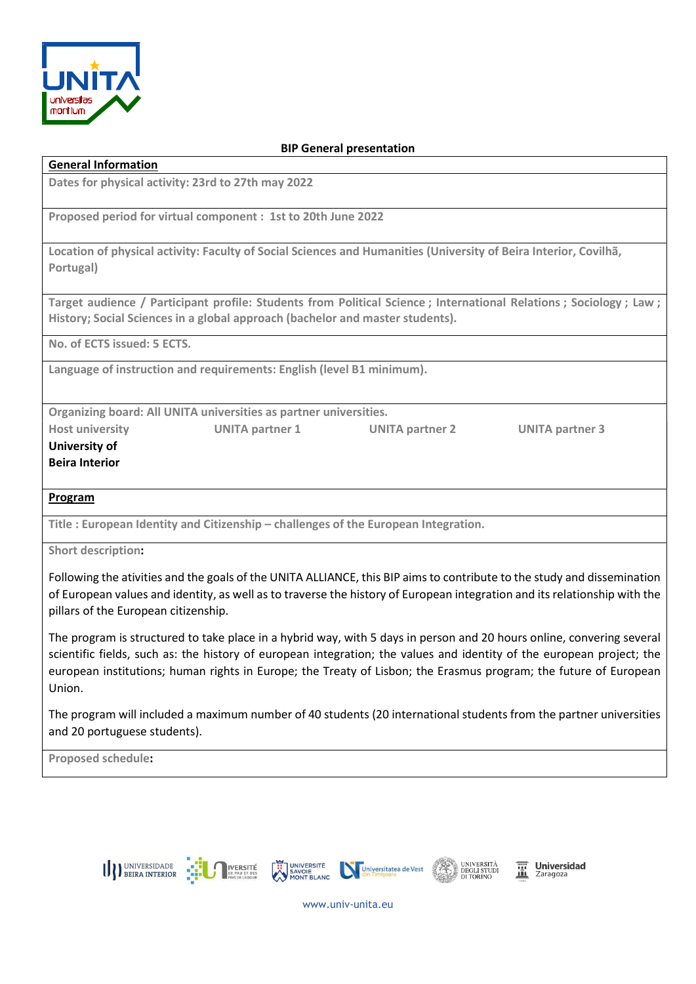

## BIP General presentation

| <b>General Information</b>                                                         |                        |                                                                                                                  |                                                                                                                  |
|------------------------------------------------------------------------------------|------------------------|------------------------------------------------------------------------------------------------------------------|------------------------------------------------------------------------------------------------------------------|
| Dates for physical activity: 23rd to 27th may 2022                                 |                        |                                                                                                                  |                                                                                                                  |
|                                                                                    |                        |                                                                                                                  |                                                                                                                  |
| Proposed period for virtual component : 1st to 20th June 2022                      |                        |                                                                                                                  |                                                                                                                  |
|                                                                                    |                        | Location of physical activity: Faculty of Social Sciences and Humanities (University of Beira Interior, Covilhã, |                                                                                                                  |
| Portugal)                                                                          |                        |                                                                                                                  |                                                                                                                  |
|                                                                                    |                        |                                                                                                                  |                                                                                                                  |
|                                                                                    |                        |                                                                                                                  | Target audience / Participant profile: Students from Political Science; International Relations; Sociology; Law; |
| History; Social Sciences in a global approach (bachelor and master students).      |                        |                                                                                                                  |                                                                                                                  |
| No. of ECTS issued: 5 ECTS.                                                        |                        |                                                                                                                  |                                                                                                                  |
| Language of instruction and requirements: English (level B1 minimum).              |                        |                                                                                                                  |                                                                                                                  |
|                                                                                    |                        |                                                                                                                  |                                                                                                                  |
| Organizing board: All UNITA universities as partner universities.                  |                        |                                                                                                                  |                                                                                                                  |
| <b>Host university</b>                                                             | <b>UNITA partner 1</b> | <b>UNITA partner 2</b>                                                                                           | <b>UNITA partner 3</b>                                                                                           |
| University of                                                                      |                        |                                                                                                                  |                                                                                                                  |
| <b>Beira Interior</b>                                                              |                        |                                                                                                                  |                                                                                                                  |
|                                                                                    |                        |                                                                                                                  |                                                                                                                  |
| Program                                                                            |                        |                                                                                                                  |                                                                                                                  |
| Title: European Identity and Citizenship – challenges of the European Integration. |                        |                                                                                                                  |                                                                                                                  |
| <b>Short description:</b>                                                          |                        |                                                                                                                  |                                                                                                                  |
|                                                                                    |                        |                                                                                                                  |                                                                                                                  |

Following the ativities and the goals of the UNITA ALLIANCE, this BIP aims to contribute to the study and dissemination of European values and identity, as well as to traverse the history of European integration and its relationship with the pillars of the European citizenship.

The program is structured to take place in a hybrid way, with 5 days in person and 20 hours online, convering several scientific fields, such as: the history of european integration; the values and identity of the european project; the european institutions; human rights in Europe; the Treaty of Lisbon; the Erasmus program; the future of European Union.

The program will included a maximum number of 40 students (20 international students from the partner universities and 20 portuguese students).

Proposed schedule:



**Universidad**<br>Zaragoza

www.univ-unita.eu